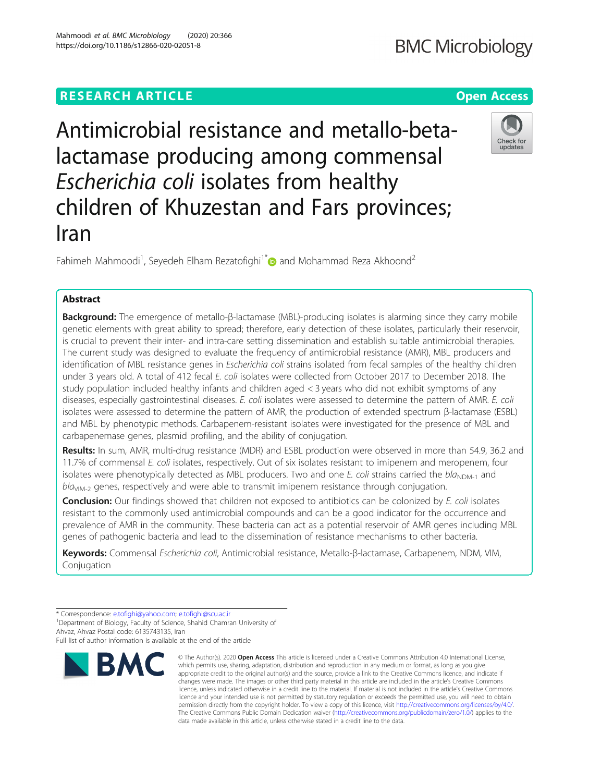# **RESEARCH ARTICLE Example 2014 12:30 The Contract of Contract ACCESS**

Antimicrobial resistance and metallo-betalactamase producing among commensal Escherichia coli isolates from healthy children of Khuzestan and Fars provinces; Iran

Fahimeh Mahmoodi<sup>1</sup>, Seyedeh Elham Rezatofighi<sup>1\*</sup> $\bm{\circ}$  and Mohammad Reza Akhoond<sup>2</sup>

## Abstract

Background: The emergence of metallo-β-lactamase (MBL)-producing isolates is alarming since they carry mobile genetic elements with great ability to spread; therefore, early detection of these isolates, particularly their reservoir, is crucial to prevent their inter- and intra-care setting dissemination and establish suitable antimicrobial therapies. The current study was designed to evaluate the frequency of antimicrobial resistance (AMR), MBL producers and identification of MBL resistance genes in Escherichia coli strains isolated from fecal samples of the healthy children under 3 years old. A total of 412 fecal E. coli isolates were collected from October 2017 to December 2018. The study population included healthy infants and children aged < 3 years who did not exhibit symptoms of any diseases, especially gastrointestinal diseases. E. coli isolates were assessed to determine the pattern of AMR. E. coli isolates were assessed to determine the pattern of AMR, the production of extended spectrum β-lactamase (ESBL) and MBL by phenotypic methods. Carbapenem-resistant isolates were investigated for the presence of MBL and carbapenemase genes, plasmid profiling, and the ability of conjugation.

Results: In sum, AMR, multi-drug resistance (MDR) and ESBL production were observed in more than 54.9, 36.2 and 11.7% of commensal E. coli isolates, respectively. Out of six isolates resistant to imipenem and meropenem, four isolates were phenotypically detected as MBL producers. Two and one E. coli strains carried the  $bl_{\text{NDM-1}}$  and  $bla<sub>VIM-2</sub>$  genes, respectively and were able to transmit imipenem resistance through conjugation.

Conclusion: Our findings showed that children not exposed to antibiotics can be colonized by E. coli isolates resistant to the commonly used antimicrobial compounds and can be a good indicator for the occurrence and prevalence of AMR in the community. These bacteria can act as a potential reservoir of AMR genes including MBL genes of pathogenic bacteria and lead to the dissemination of resistance mechanisms to other bacteria.

Keywords: Commensal Escherichia coli, Antimicrobial resistance, Metallo-β-lactamase, Carbapenem, NDM, VIM, Conjugation

<sup>1</sup> Department of Biology, Faculty of Science, Shahid Chamran University of Ahvaz, Ahvaz Postal code: 6135743135, Iran





<sup>\*</sup> Correspondence: [e.tofighi@yahoo.com](mailto:e.tofighi@yahoo.com); [e.tofighi@scu.ac.ir](mailto:e.tofighi@scu.ac.ir) <sup>1</sup>

Full list of author information is available at the end of the article

<sup>©</sup> The Author(s), 2020 **Open Access** This article is licensed under a Creative Commons Attribution 4.0 International License, which permits use, sharing, adaptation, distribution and reproduction in any medium or format, as long as you give appropriate credit to the original author(s) and the source, provide a link to the Creative Commons licence, and indicate if changes were made. The images or other third party material in this article are included in the article's Creative Commons licence, unless indicated otherwise in a credit line to the material. If material is not included in the article's Creative Commons licence and your intended use is not permitted by statutory regulation or exceeds the permitted use, you will need to obtain permission directly from the copyright holder. To view a copy of this licence, visit [http://creativecommons.org/licenses/by/4.0/.](http://creativecommons.org/licenses/by/4.0/) The Creative Commons Public Domain Dedication waiver [\(http://creativecommons.org/publicdomain/zero/1.0/](http://creativecommons.org/publicdomain/zero/1.0/)) applies to the data made available in this article, unless otherwise stated in a credit line to the data.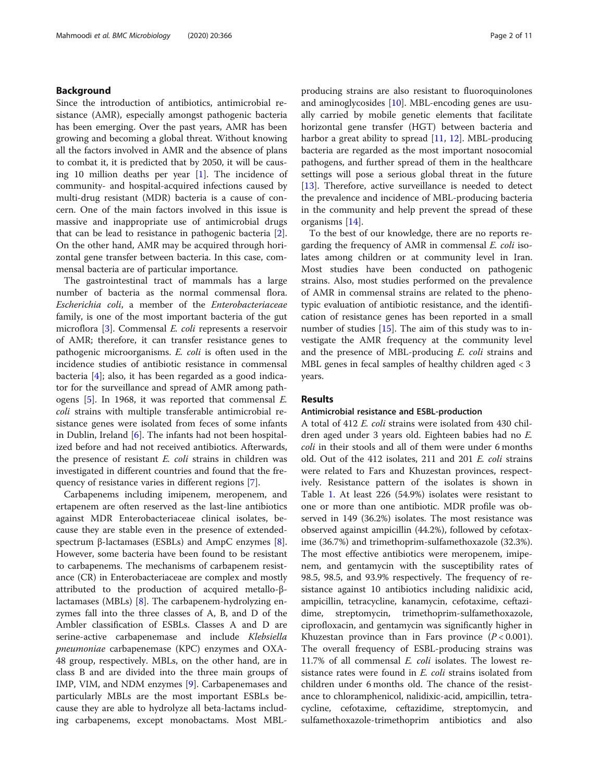## Background

Since the introduction of antibiotics, antimicrobial resistance (AMR), especially amongst pathogenic bacteria has been emerging. Over the past years, AMR has been growing and becoming a global threat. Without knowing all the factors involved in AMR and the absence of plans to combat it, it is predicted that by 2050, it will be causing 10 million deaths per year  $[1]$  $[1]$ . The incidence of community- and hospital-acquired infections caused by multi-drug resistant (MDR) bacteria is a cause of concern. One of the main factors involved in this issue is massive and inappropriate use of antimicrobial drugs that can be lead to resistance in pathogenic bacteria [\[2](#page-9-0)]. On the other hand, AMR may be acquired through horizontal gene transfer between bacteria. In this case, commensal bacteria are of particular importance.

The gastrointestinal tract of mammals has a large number of bacteria as the normal commensal flora. Escherichia coli, a member of the Enterobacteriaceae family, is one of the most important bacteria of the gut microflora [[3\]](#page-9-0). Commensal E. coli represents a reservoir of AMR; therefore, it can transfer resistance genes to pathogenic microorganisms. E. coli is often used in the incidence studies of antibiotic resistance in commensal bacteria [\[4](#page-9-0)]; also, it has been regarded as a good indicator for the surveillance and spread of AMR among pathogens  $[5]$  $[5]$ . In 1968, it was reported that commensal E. coli strains with multiple transferable antimicrobial resistance genes were isolated from feces of some infants in Dublin, Ireland [[6\]](#page-9-0). The infants had not been hospitalized before and had not received antibiotics. Afterwards, the presence of resistant E. coli strains in children was investigated in different countries and found that the frequency of resistance varies in different regions [\[7\]](#page-9-0).

Carbapenems including imipenem, meropenem, and ertapenem are often reserved as the last-line antibiotics against MDR Enterobacteriaceae clinical isolates, because they are stable even in the presence of extendedspectrum β-lactamases (ESBLs) and AmpC enzymes [\[8](#page-9-0)]. However, some bacteria have been found to be resistant to carbapenems. The mechanisms of carbapenem resistance (CR) in Enterobacteriaceae are complex and mostly attributed to the production of acquired metallo-βlactamases (MBLs) [\[8](#page-9-0)]. The carbapenem-hydrolyzing enzymes fall into the three classes of A, B, and D of the Ambler classification of ESBLs. Classes A and D are serine-active carbapenemase and include Klebsiella pneumoniae carbapenemase (KPC) enzymes and OXA-48 group, respectively. MBLs, on the other hand, are in class B and are divided into the three main groups of IMP, VIM, and NDM enzymes [[9\]](#page-9-0). Carbapenemases and particularly MBLs are the most important ESBLs because they are able to hydrolyze all beta-lactams including carbapenems, except monobactams. Most MBL- producing strains are also resistant to fluoroquinolones and aminoglycosides [[10\]](#page-9-0). MBL-encoding genes are usually carried by mobile genetic elements that facilitate horizontal gene transfer (HGT) between bacteria and harbor a great ability to spread [\[11](#page-9-0), [12](#page-9-0)]. MBL-producing bacteria are regarded as the most important nosocomial pathogens, and further spread of them in the healthcare settings will pose a serious global threat in the future [[13\]](#page-9-0). Therefore, active surveillance is needed to detect the prevalence and incidence of MBL-producing bacteria in the community and help prevent the spread of these organisms [\[14](#page-9-0)].

To the best of our knowledge, there are no reports regarding the frequency of AMR in commensal E. coli isolates among children or at community level in Iran. Most studies have been conducted on pathogenic strains. Also, most studies performed on the prevalence of AMR in commensal strains are related to the phenotypic evaluation of antibiotic resistance, and the identification of resistance genes has been reported in a small number of studies  $[15]$ . The aim of this study was to investigate the AMR frequency at the community level and the presence of MBL-producing E. coli strains and MBL genes in fecal samples of healthy children aged < 3 years.

## Results

## Antimicrobial resistance and ESBL-production

A total of 412 E. coli strains were isolated from 430 children aged under 3 years old. Eighteen babies had no E. coli in their stools and all of them were under 6 months old. Out of the 412 isolates, 211 and 201 E. coli strains were related to Fars and Khuzestan provinces, respectively. Resistance pattern of the isolates is shown in Table [1.](#page-2-0) At least 226 (54.9%) isolates were resistant to one or more than one antibiotic. MDR profile was observed in 149 (36.2%) isolates. The most resistance was observed against ampicillin (44.2%), followed by cefotaxime (36.7%) and trimethoprim-sulfamethoxazole (32.3%). The most effective antibiotics were meropenem, imipenem, and gentamycin with the susceptibility rates of 98.5, 98.5, and 93.9% respectively. The frequency of resistance against 10 antibiotics including nalidixic acid, ampicillin, tetracycline, kanamycin, cefotaxime, ceftazidime, streptomycin, trimethoprim-sulfamethoxazole, ciprofloxacin, and gentamycin was significantly higher in Khuzestan province than in Fars province  $(P < 0.001)$ . The overall frequency of ESBL-producing strains was 11.7% of all commensal E. coli isolates. The lowest resistance rates were found in E. coli strains isolated from children under 6 months old. The chance of the resistance to chloramphenicol, nalidixic-acid, ampicillin, tetracycline, cefotaxime, ceftazidime, streptomycin, and sulfamethoxazole-trimethoprim antibiotics and also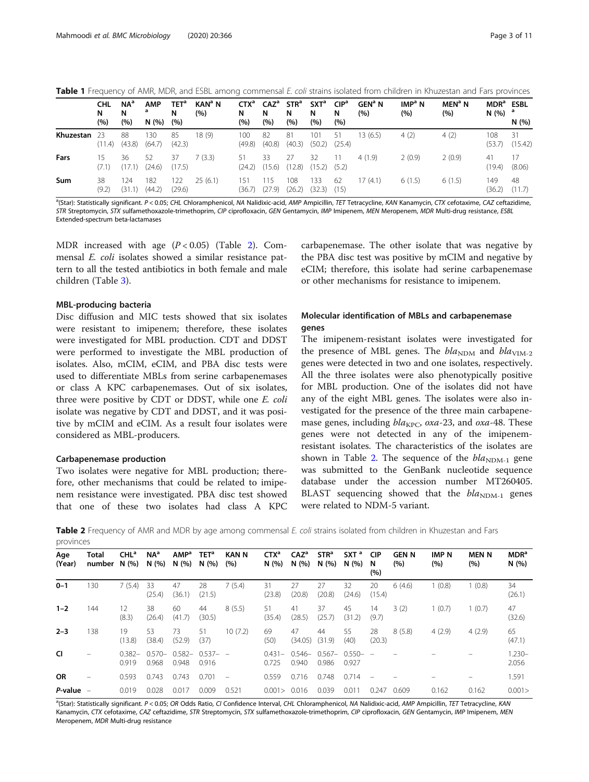## <span id="page-2-0"></span>Table 1 Frequency of AMR, MDR, and ESBL among commensal E. coli strains isolated from children in Khuzestan and Fars provinces

|           | CHL<br>N<br>(%) | $NA^a$<br>N<br>(%) | AMP<br>a<br>N (%) | TET <sup>a</sup><br>N<br>(%) | KAN <sup>a</sup> N<br>(%) | CTXª<br>N<br>(%) | $\mathsf{C} \mathsf{A} \mathsf{Z}^\mathsf{a}$ STR $^\mathsf{a}$<br>N<br>(% ) | N<br>(%)      | $SXT^a$<br>N<br>(%)      | ClP <sup>a</sup><br>N<br>(%) | GEN <sup>a</sup> N<br>(%) | IMP <sup>a</sup> N<br>(%) | MEN <sup>a</sup> N<br>(%) | $MDRa$ ESBL<br>N(% | a<br>N(%)     |
|-----------|-----------------|--------------------|-------------------|------------------------------|---------------------------|------------------|------------------------------------------------------------------------------|---------------|--------------------------|------------------------------|---------------------------|---------------------------|---------------------------|--------------------|---------------|
| Khuzestan | 23<br>(11.4)    | 88<br>(43.8)       | i 30<br>(64.7)    | 85<br>(42.3)                 | 18(9)                     | 100<br>(49.8)    | 82<br>(40.8)                                                                 | 81<br>(40.3)  | 101<br>$(50.2)$ $(25.4)$ | -51                          | 13 (6.5)                  | 4(2)                      | 4(2)                      | 108<br>(53.7)      | 31<br>(15.42) |
| Fars      | 15.<br>(7.1)    | 36<br>(17.1)       | 52<br>(24.6)      | 37<br>(17.5)                 | 7(3.3)                    | (24.2)           | 33<br>(15.6)                                                                 | -27<br>(12.8) | 32<br>$(15.2)$ $(5.2)$   | 11                           | 4(1.9)                    | 2(0.9)                    | 2(0.9)                    | 41<br>(19.4)       | 17<br>(8.06)  |
| Sum       | 38<br>(9.2)     | 24<br>(31.1)       | 182<br>(44.2)     | 122<br>(29.6)                | 25(6.1)                   | 151<br>(36.7)    | 15<br>(27.9)                                                                 | 108<br>(26.2) | 133<br>(32.3)            | 62<br>(15)                   | 17 (4.1)                  | 6(1.5)                    | 6(1.5)                    | 149<br>(36.2)      | 48<br>(11.7)  |

<sup>a</sup>(Star): Statistically significant. P < 0.05; CHL Chloramphenicol, MA Nalidixic-acid, AMP Ampicillin, TET Tetracycline, KAN Kanamycin, CTX cefotaxime, CAZ ceftazidime,<br>STR Strentomycin, STX sulfamethovazole-trimethonrim, STR Streptomycin, STX sulfamethoxazole-trimethoprim, CIP ciprofloxacin, GEN Gentamycin, IMP Imipenem, MEN Meropenem, MDR Multi-drug resistance, ESBL Extended-spectrum beta-lactamases

MDR increased with age  $(P < 0.05)$  (Table 2). Commensal E. coli isolates showed a similar resistance pattern to all the tested antibiotics in both female and male children (Table [3](#page-3-0)).

## MBL-producing bacteria

Disc diffusion and MIC tests showed that six isolates were resistant to imipenem; therefore, these isolates were investigated for MBL production. CDT and DDST were performed to investigate the MBL production of isolates. Also, mCIM, eCIM, and PBA disc tests were used to differentiate MBLs from serine carbapenemases or class A KPC carbapenemases. Out of six isolates, three were positive by CDT or DDST, while one E. coli isolate was negative by CDT and DDST, and it was positive by mCIM and eCIM. As a result four isolates were considered as MBL-producers.

## Carbapenemase production

Two isolates were negative for MBL production; therefore, other mechanisms that could be related to imipenem resistance were investigated. PBA disc test showed that one of these two isolates had class A KPC carbapenemase. The other isolate that was negative by the PBA disc test was positive by mCIM and negative by eCIM; therefore, this isolate had serine carbapenemase or other mechanisms for resistance to imipenem.

## Molecular identification of MBLs and carbapenemase genes

The imipenem-resistant isolates were investigated for the presence of MBL genes. The  $bla_{\text{NDM}}$  and  $bla_{\text{VIM-2}}$ genes were detected in two and one isolates, respectively. All the three isolates were also phenotypically positive for MBL production. One of the isolates did not have any of the eight MBL genes. The isolates were also investigated for the presence of the three main carbapenemase genes, including  $bla_{KPC}$ ,  $oxa-23$ , and  $oxa-48$ . These genes were not detected in any of the imipenemresistant isolates. The characteristics of the isolates are shown in Table 2. The sequence of the  $bla_{NDM-1}$  gene was submitted to the GenBank nucleotide sequence database under the accession number MT260405. BLAST sequencing showed that the  $bla_{NDM-1}$  genes were related to NDM-5 variant.

Table 2 Frequency of AMR and MDR by age among commensal E. coli strains isolated from children in Khuzestan and Fars provinces

| Age<br>(Year) | <b>Total</b><br>number   | CHL <sup>a</sup><br>N (%) | $NA^a$<br>N (%)    | AMP <sup>a</sup><br>N(96) | <b>TET<sup>a</sup></b><br>N(96) | <b>KANN</b><br>(%)       | $CTX^a$<br>N(96)   | CAZ <sup>a</sup><br>N(96) | STR <sup>a</sup><br>N(96) | SXT <sup>a</sup><br>N(%)     | <b>CIP</b><br>N<br>(%) | <b>GEN N</b><br>(%) | <b>IMP N</b><br>(%) | <b>MEN N</b><br>(% ) | <b>MDR</b> <sup>a</sup><br>N(96) |
|---------------|--------------------------|---------------------------|--------------------|---------------------------|---------------------------------|--------------------------|--------------------|---------------------------|---------------------------|------------------------------|------------------------|---------------------|---------------------|----------------------|----------------------------------|
| $0 - 1$       | 130                      | 7(5.4)                    | 33<br>(25.4)       | 47<br>(36.1)              | 28<br>(21.5)                    | 7(5.4)                   | 31<br>(23.8)       | 27<br>(20.8)              | 27<br>(20.8)              | 32<br>(24.6)                 | 20<br>(15.4)           | 6(4.6)              | 1(0.8)              | 1(0.8)               | 34<br>(26.1)                     |
| $1 - 2$       | 144                      | 12<br>(8.3)               | 38<br>(26.4)       | 60<br>(41.7)              | 44<br>(30.5)                    | 8(5.5)                   | 51<br>(35.4)       | 41<br>(28.5)              | 37<br>(25.7)              | 45<br>(31.2)                 | 14<br>(9.7)            | 3(2)                | 1(0.7)              | 1(0.7)               | 47<br>(32.6)                     |
| $2 - 3$       | 138                      | 19<br>(13.8)              | 53<br>(38.4)       | 73<br>(52.9)              | 51<br>(37)                      | 10(7.2)                  | 69<br>(50)         | 47<br>(34.05)             | 44<br>(31.9)              | 55<br>(40)                   | 28<br>(20.3)           | 8(5.8)              | 4(2.9)              | 4(2.9)               | 65<br>(47.1)                     |
| <b>CI</b>     | $-$                      | $0.382 -$<br>0.919        | $0.570 -$<br>0.968 | $0.582-$<br>0.948         | $0.537 - -$<br>0.916            |                          | $0.431 -$<br>0.725 | $0.546-$<br>0.940         | 0.986                     | $0.567 - 0.550 - -$<br>0.927 |                        |                     |                     |                      | $1.230 -$<br>2.056               |
| <b>OR</b>     |                          | 0.593                     | 0.743              | 0.743                     | 0.701                           | $\overline{\phantom{m}}$ | 0.559              | 0.716                     | 0.748                     | 0.714                        |                        |                     |                     |                      | 1.591                            |
| P-value       | $\overline{\phantom{0}}$ | 0.019                     | 0.028              | 0.017                     | 0.009                           | 0.521                    | 0.001              | 0.016                     | 0.039                     | 0.011                        | 0.247                  | 0.609               | 0.162               | 0.162                | 0.001                            |

<sup>a</sup>(Star): Statistically significant. P < 0.05; OR Odds Ratio, CI Confidence Interval, CHL Chloramphenicol, MA Nalidixic-acid, AMP Ampicillin, TET Tetracycline, KAN<br>Kanamycin, CTX cefetaxime, CAZ ceftazidime, STR Strentomy Kanamycin, CTX cefotaxime, CAZ ceftazidime, STR Streptomycin, STX sulfamethoxazole-trimethoprim, CIP ciprofloxacin, GEN Gentamycin, IMP Imipenem, MEN Meropenem, MDR Multi-drug resistance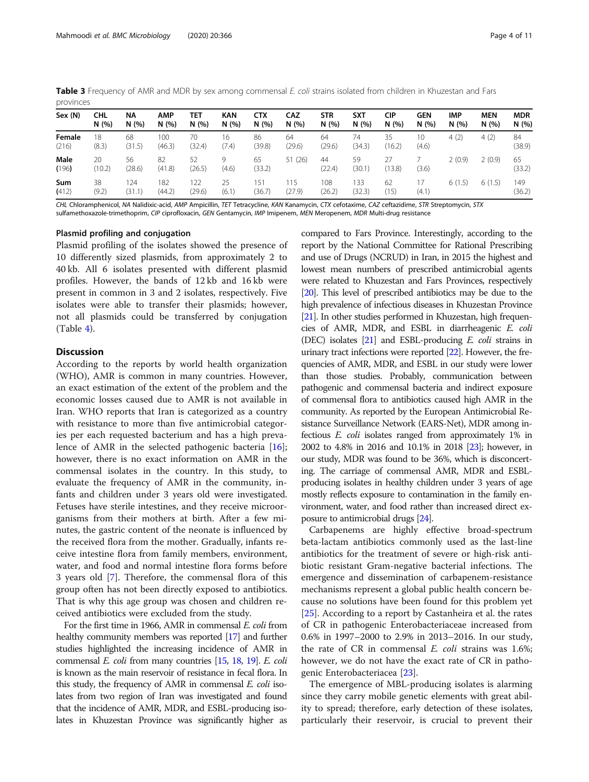<span id="page-3-0"></span>Table 3 Frequency of AMR and MDR by sex among commensal E. coli strains isolated from children in Khuzestan and Fars provinces

| Sex (N)         | CHL<br>N(%)  | <b>NA</b><br>N(%) | AMP<br>N(%)   | TET<br>N(%)  | <b>KAN</b><br>N(%) | CTX<br>N(%)   | CAZ<br>N(%)  | STR<br>N(%)   | SXT<br>N(%)   | <b>CIP</b><br>N(%) | GEN<br>N(%) | <b>IMP</b><br>N(%) | <b>MEN</b><br>N(%) | <b>MDR</b><br>N(%) |
|-----------------|--------------|-------------------|---------------|--------------|--------------------|---------------|--------------|---------------|---------------|--------------------|-------------|--------------------|--------------------|--------------------|
| Female<br>(216) | 18<br>(8.3)  | 68<br>(31.5)      | 100<br>(46.3) | 70<br>(32.4) | 16<br>(7.4)        | 86<br>(39.8)  | 64<br>(29.6) | 64<br>(29.6)  | 74<br>(34.3)  | 35<br>(16.2)       | 10<br>(4.6) | 4(2)               | 4(2)               | 84<br>(38.9)       |
| Male<br>(196)   | 20<br>(10.2) | 56<br>(28.6)      | 82<br>(41.8)  | 52<br>(26.5) | 9<br>(4.6)         | 65<br>(33.2)  | 51 (26)      | 44<br>(22.4)  | 59<br>(30.1   | 27<br>(13.8)       | (3.6)       | 2(0.9)             | 2(0.9)             | 65<br>(33.2)       |
| Sum<br>(412)    | 38<br>(9.2)  | 124<br>(31.1)     | 182<br>(44.2) | 22<br>(29.6) | 25<br>(6.1)        | 151<br>(36.7) | 15<br>(27.9) | 108<br>(26.2) | 133<br>(32.3) | 62<br>(15)         | (4.1)       | 6(1.5)             | 6(1.5)             | 149<br>(36.2)      |

CHL Chloramphenicol, NA Nalidixic-acid, AMP Ampicillin, TET Tetracycline, KAN Kanamycin, CTX cefotaxime, CAZ ceftazidime, STR Streptomycin, STX sulfamethoxazole-trimethoprim, CIP ciprofloxacin, GEN Gentamycin, IMP Imipenem, MEN Meropenem, MDR Multi-drug resistance

#### Plasmid profiling and conjugation

Plasmid profiling of the isolates showed the presence of 10 differently sized plasmids, from approximately 2 to 40 kb. All 6 isolates presented with different plasmid profiles. However, the bands of 12 kb and 16 kb were present in common in 3 and 2 isolates, respectively. Five isolates were able to transfer their plasmids; however, not all plasmids could be transferred by conjugation (Table [4\)](#page-4-0).

## **Discussion**

According to the reports by world health organization (WHO), AMR is common in many countries. However, an exact estimation of the extent of the problem and the economic losses caused due to AMR is not available in Iran. WHO reports that Iran is categorized as a country with resistance to more than five antimicrobial categories per each requested bacterium and has a high prevalence of AMR in the selected pathogenic bacteria [\[16](#page-9-0)]; however, there is no exact information on AMR in the commensal isolates in the country. In this study, to evaluate the frequency of AMR in the community, infants and children under 3 years old were investigated. Fetuses have sterile intestines, and they receive microorganisms from their mothers at birth. After a few minutes, the gastric content of the neonate is influenced by the received flora from the mother. Gradually, infants receive intestine flora from family members, environment, water, and food and normal intestine flora forms before 3 years old [\[7](#page-9-0)]. Therefore, the commensal flora of this group often has not been directly exposed to antibiotics. That is why this age group was chosen and children received antibiotics were excluded from the study.

For the first time in 1966, AMR in commensal E. coli from healthy community members was reported [[17](#page-9-0)] and further studies highlighted the increasing incidence of AMR in commensal E. coli from many countries [\[15](#page-9-0), [18,](#page-9-0) [19](#page-9-0)]. E. coli is known as the main reservoir of resistance in fecal flora. In this study, the frequency of AMR in commensal E. coli isolates from two region of Iran was investigated and found that the incidence of AMR, MDR, and ESBL-producing isolates in Khuzestan Province was significantly higher as

compared to Fars Province. Interestingly, according to the report by the National Committee for Rational Prescribing and use of Drugs (NCRUD) in Iran, in 2015 the highest and lowest mean numbers of prescribed antimicrobial agents were related to Khuzestan and Fars Provinces, respectively [[20\]](#page-9-0). This level of prescribed antibiotics may be due to the high prevalence of infectious diseases in Khuzestan Province [[21\]](#page-9-0). In other studies performed in Khuzestan, high frequencies of AMR, MDR, and ESBL in diarrheagenic E. coli (DEC) isolates [[21](#page-9-0)] and ESBL-producing E. coli strains in urinary tract infections were reported [\[22](#page-9-0)]. However, the frequencies of AMR, MDR, and ESBL in our study were lower than those studies. Probably, communication between pathogenic and commensal bacteria and indirect exposure of commensal flora to antibiotics caused high AMR in the community. As reported by the European Antimicrobial Resistance Surveillance Network (EARS-Net), MDR among infectious E. coli isolates ranged from approximately 1% in 2002 to 4.8% in 2016 and 10.1% in 2018 [\[23](#page-9-0)]; however, in our study, MDR was found to be 36%, which is disconcerting. The carriage of commensal AMR, MDR and ESBLproducing isolates in healthy children under 3 years of age mostly reflects exposure to contamination in the family environment, water, and food rather than increased direct exposure to antimicrobial drugs [\[24\]](#page-9-0).

Carbapenems are highly effective broad-spectrum beta-lactam antibiotics commonly used as the last-line antibiotics for the treatment of severe or high-risk antibiotic resistant Gram-negative bacterial infections. The emergence and dissemination of carbapenem-resistance mechanisms represent a global public health concern because no solutions have been found for this problem yet [[25\]](#page-9-0). According to a report by Castanheira et al. the rates of CR in pathogenic Enterobacteriaceae increased from 0.6% in 1997–2000 to 2.9% in 2013–2016. In our study, the rate of CR in commensal  $E$ . *coli* strains was 1.6%; however, we do not have the exact rate of CR in pathogenic Enterobacteriacea [[23\]](#page-9-0).

The emergence of MBL-producing isolates is alarming since they carry mobile genetic elements with great ability to spread; therefore, early detection of these isolates, particularly their reservoir, is crucial to prevent their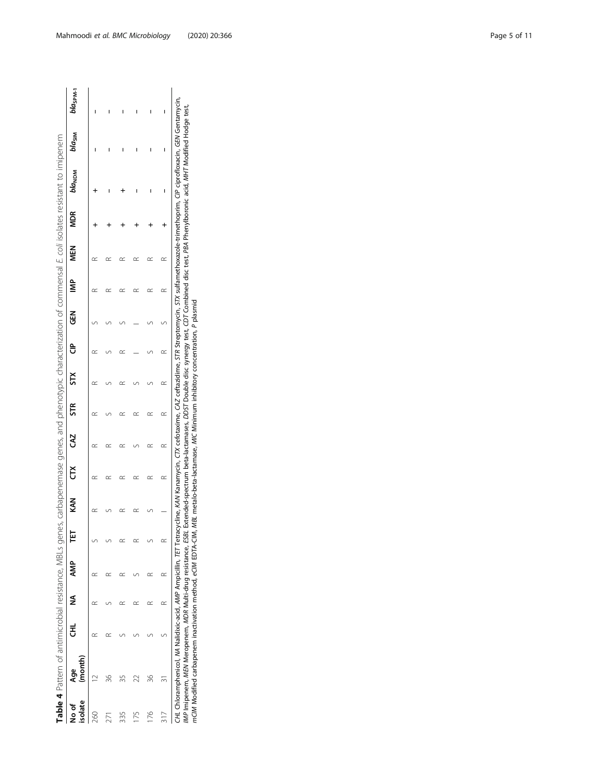<span id="page-4-0"></span>

|                   | Table 4 Pattern of antimicrobial resistance, MBLs gen-                                                                                                                                                                                                                                                                        |   |           |   |                                                                            |   |   |   |   |    |        |          | es, carbapenemase genes, and phenotypic characterization of commensal E. coli isolates resistant to imipenem                               |        |                      |
|-------------------|-------------------------------------------------------------------------------------------------------------------------------------------------------------------------------------------------------------------------------------------------------------------------------------------------------------------------------|---|-----------|---|----------------------------------------------------------------------------|---|---|---|---|----|--------|----------|--------------------------------------------------------------------------------------------------------------------------------------------|--------|----------------------|
| isolate<br>t<br>2 | (month)<br>Age                                                                                                                                                                                                                                                                                                                | 공 | ÅMP       | 굔 | KAN                                                                        | č | 3 | 뜭 | ᡱ | るじ | ≧<br>V | NDR<br>2 | bla <sub>NDM</sub>                                                                                                                         | blasın | bla <sub>spM-1</sub> |
|                   |                                                                                                                                                                                                                                                                                                                               |   | ∝         |   |                                                                            |   |   |   |   |    |        |          |                                                                                                                                            |        |                      |
|                   | 26                                                                                                                                                                                                                                                                                                                            |   |           |   |                                                                            |   |   |   |   |    |        |          |                                                                                                                                            |        |                      |
| 335               |                                                                                                                                                                                                                                                                                                                               |   |           |   |                                                                            |   |   |   |   |    |        |          |                                                                                                                                            |        |                      |
|                   |                                                                                                                                                                                                                                                                                                                               |   |           |   |                                                                            |   |   |   |   |    |        |          |                                                                                                                                            |        |                      |
|                   | 26                                                                                                                                                                                                                                                                                                                            |   | ≃         |   |                                                                            |   |   |   |   |    |        |          |                                                                                                                                            |        |                      |
|                   |                                                                                                                                                                                                                                                                                                                               |   | $\propto$ |   |                                                                            |   |   | ≃ | ≃ |    |        |          |                                                                                                                                            |        |                      |
|                   | CHL Chloramphenicol, MA Nalidixic-acid, AMP Ampicilin, TET Tetracycline, KAN Kanamycin, CTX cefotaxime, STR Streptomycin, STX sulfamethoxazole-trimethoprim, CIP ciprofloxacin, GEN Gentamycin<br>IMP Imipenem, MEN Meropenem, MDR Multi-drug resistance, ESBL<br>mCIM Modified carbapenem inactivation method, eCIM EDTA-CIM |   |           |   | MBL metalo-beta-lactamase, M/C Minimum inhibitory concentration, P plasmid |   |   |   |   |    |        |          | Extended-spectrum beta-lactamases, DDST Double disc synergy test, CDT Combined disc test, PBA Phenylboronic acid, MHT Modified Hodge test, |        |                      |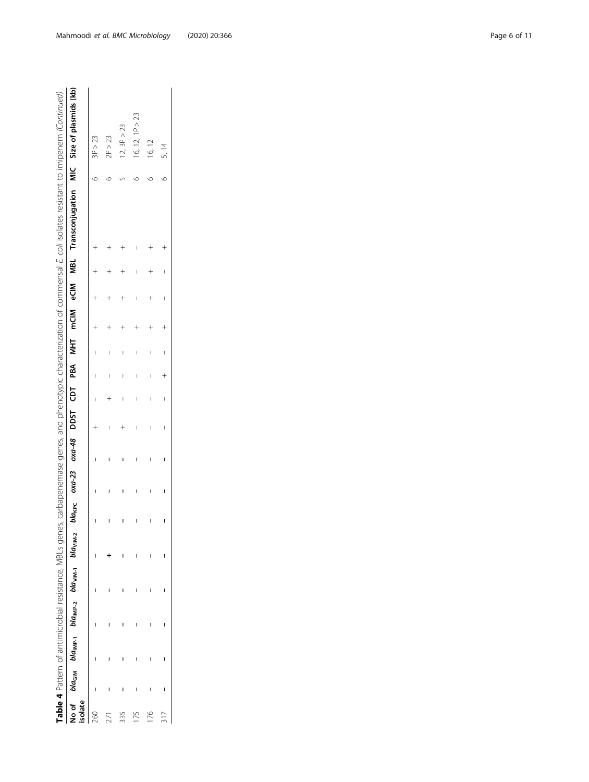| solate |              |   |  |  |  |  |                |  |  | bla <sub>cec</sub> oxa-23 oxa-48 DDST CDT PBA MHT mCIM eCIM MBL Transconjugation MIC Size of plasmids (kb)<br>Table 4 Pattern of antimicrobial resistance, MBLs genes, carbapenemase genes, and phenotypic characterization of commensal E. coli isolates resistant to imipenem (Con <i>tinued)</i><br>No of blo <sub>dime</sub> blo <sub>mme a</sub> blo <sub>mma blo<sub>mma</sub> bl</sub> |
|--------|--------------|---|--|--|--|--|----------------|--|--|-----------------------------------------------------------------------------------------------------------------------------------------------------------------------------------------------------------------------------------------------------------------------------------------------------------------------------------------------------------------------------------------------|
| 260    | $\mathbf{I}$ |   |  |  |  |  |                |  |  | 3P > 23                                                                                                                                                                                                                                                                                                                                                                                       |
|        | $\mathbf{I}$ |   |  |  |  |  |                |  |  | 2P > 23                                                                                                                                                                                                                                                                                                                                                                                       |
| 335    |              |   |  |  |  |  |                |  |  | 2, 3P > 23                                                                                                                                                                                                                                                                                                                                                                                    |
| 175    |              |   |  |  |  |  | I              |  |  | 16, 12, 1P > 23                                                                                                                                                                                                                                                                                                                                                                               |
| 176    | I            | I |  |  |  |  |                |  |  |                                                                                                                                                                                                                                                                                                                                                                                               |
| 317    |              |   |  |  |  |  | $\overline{1}$ |  |  | 5, 14                                                                                                                                                                                                                                                                                                                                                                                         |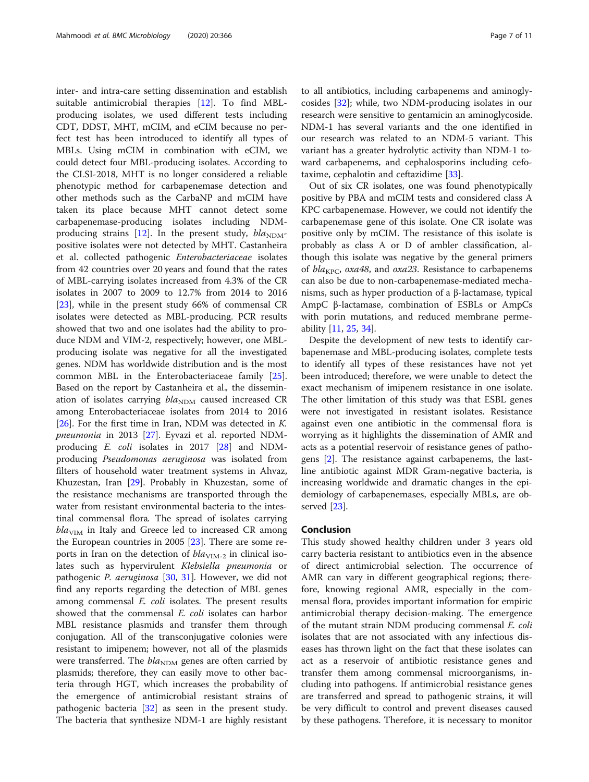inter- and intra-care setting dissemination and establish suitable antimicrobial therapies [[12\]](#page-9-0). To find MBLproducing isolates, we used different tests including CDT, DDST, MHT, mCIM, and eCIM because no perfect test has been introduced to identify all types of MBLs. Using mCIM in combination with eCIM, we could detect four MBL-producing isolates. According to the CLSI-2018, MHT is no longer considered a reliable phenotypic method for carbapenemase detection and other methods such as the CarbaNP and mCIM have taken its place because MHT cannot detect some carbapenemase-producing isolates including NDM-producing strains [[12\]](#page-9-0). In the present study,  $bla_{NDM}$ positive isolates were not detected by MHT. Castanheira et al. collected pathogenic Enterobacteriaceae isolates from 42 countries over 20 years and found that the rates of MBL-carrying isolates increased from 4.3% of the CR isolates in 2007 to 2009 to 12.7% from 2014 to 2016 [[23\]](#page-9-0), while in the present study 66% of commensal CR isolates were detected as MBL-producing. PCR results showed that two and one isolates had the ability to produce NDM and VIM-2, respectively; however, one MBLproducing isolate was negative for all the investigated genes. NDM has worldwide distribution and is the most common MBL in the Enterobacteriaceae family [\[25](#page-9-0)]. Based on the report by Castanheira et al., the dissemination of isolates carrying  $bla_{\text{NDM}}$  caused increased CR among Enterobacteriaceae isolates from 2014 to 2016 [[26\]](#page-9-0). For the first time in Iran, NDM was detected in  $K$ . pneumonia in 2013 [\[27](#page-9-0)]. Eyvazi et al. reported NDMproducing E. coli isolates in 2017 [[28](#page-9-0)] and NDMproducing Pseudomonas aeruginosa was isolated from filters of household water treatment systems in Ahvaz, Khuzestan, Iran [[29\]](#page-10-0). Probably in Khuzestan, some of the resistance mechanisms are transported through the water from resistant environmental bacteria to the intestinal commensal flora. The spread of isolates carrying  $bla<sub>VIM</sub>$  in Italy and Greece led to increased CR among the European countries in 2005 [[23\]](#page-9-0). There are some reports in Iran on the detection of  $bla<sub>VIM-2</sub>$  in clinical isolates such as hypervirulent Klebsiella pneumonia or pathogenic P. aeruginosa [[30](#page-10-0), [31](#page-10-0)]. However, we did not find any reports regarding the detection of MBL genes among commensal *E. coli* isolates. The present results showed that the commensal E. coli isolates can harbor MBL resistance plasmids and transfer them through conjugation. All of the transconjugative colonies were resistant to imipenem; however, not all of the plasmids were transferred. The  $bla_{\text{NDM}}$  genes are often carried by plasmids; therefore, they can easily move to other bacteria through HGT, which increases the probability of the emergence of antimicrobial resistant strains of pathogenic bacteria [[32](#page-10-0)] as seen in the present study. The bacteria that synthesize NDM-1 are highly resistant to all antibiotics, including carbapenems and aminoglycosides [[32\]](#page-10-0); while, two NDM-producing isolates in our research were sensitive to gentamicin an aminoglycoside. NDM-1 has several variants and the one identified in our research was related to an NDM-5 variant. This variant has a greater hydrolytic activity than NDM-1 toward carbapenems, and cephalosporins including cefotaxime, cephalotin and ceftazidime [\[33](#page-10-0)].

Out of six CR isolates, one was found phenotypically positive by PBA and mCIM tests and considered class A KPC carbapenemase. However, we could not identify the carbapenemase gene of this isolate. One CR isolate was positive only by mCIM. The resistance of this isolate is probably as class A or D of ambler classification, although this isolate was negative by the general primers of  $bla<sub>KPC</sub>$ , oxa48, and oxa23. Resistance to carbapenems can also be due to non-carbapenemase-mediated mechanisms, such as hyper production of a β-lactamase, typical AmpC β-lactamase, combination of ESBLs or AmpCs with porin mutations, and reduced membrane permeability [[11](#page-9-0), [25](#page-9-0), [34](#page-10-0)].

Despite the development of new tests to identify carbapenemase and MBL-producing isolates, complete tests to identify all types of these resistances have not yet been introduced; therefore, we were unable to detect the exact mechanism of imipenem resistance in one isolate. The other limitation of this study was that ESBL genes were not investigated in resistant isolates. Resistance against even one antibiotic in the commensal flora is worrying as it highlights the dissemination of AMR and acts as a potential reservoir of resistance genes of pathogens [[2\]](#page-9-0). The resistance against carbapenems, the lastline antibiotic against MDR Gram-negative bacteria, is increasing worldwide and dramatic changes in the epidemiology of carbapenemases, especially MBLs, are observed [[23\]](#page-9-0).

## Conclusion

This study showed healthy children under 3 years old carry bacteria resistant to antibiotics even in the absence of direct antimicrobial selection. The occurrence of AMR can vary in different geographical regions; therefore, knowing regional AMR, especially in the commensal flora, provides important information for empiric antimicrobial therapy decision-making. The emergence of the mutant strain NDM producing commensal E. coli isolates that are not associated with any infectious diseases has thrown light on the fact that these isolates can act as a reservoir of antibiotic resistance genes and transfer them among commensal microorganisms, including into pathogens. If antimicrobial resistance genes are transferred and spread to pathogenic strains, it will be very difficult to control and prevent diseases caused by these pathogens. Therefore, it is necessary to monitor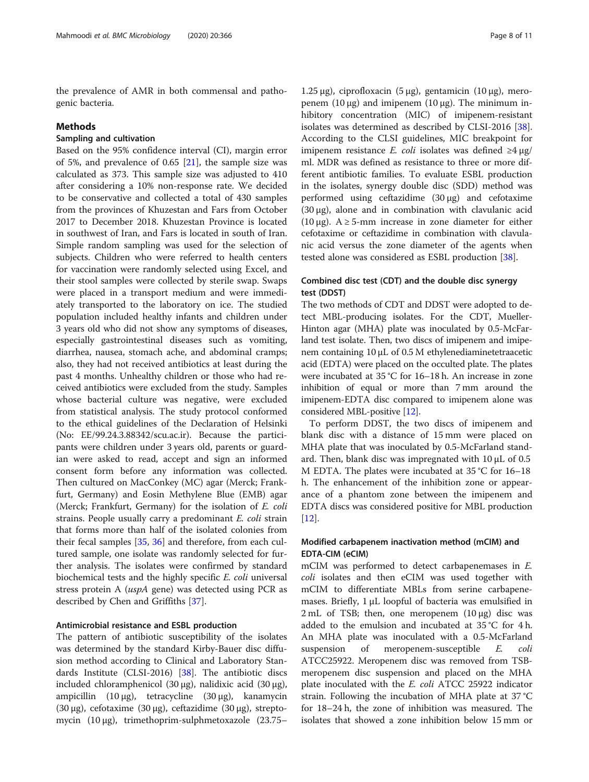the prevalence of AMR in both commensal and pathogenic bacteria.

## Methods

## Sampling and cultivation

Based on the 95% confidence interval (CI), margin error of 5%, and prevalence of 0.65 [\[21](#page-9-0)], the sample size was calculated as 373. This sample size was adjusted to 410 after considering a 10% non-response rate. We decided to be conservative and collected a total of 430 samples from the provinces of Khuzestan and Fars from October 2017 to December 2018. Khuzestan Province is located in southwest of Iran, and Fars is located in south of Iran. Simple random sampling was used for the selection of subjects. Children who were referred to health centers for vaccination were randomly selected using Excel, and their stool samples were collected by sterile swap. Swaps were placed in a transport medium and were immediately transported to the laboratory on ice. The studied population included healthy infants and children under 3 years old who did not show any symptoms of diseases, especially gastrointestinal diseases such as vomiting, diarrhea, nausea, stomach ache, and abdominal cramps; also, they had not received antibiotics at least during the past 4 months. Unhealthy children or those who had received antibiotics were excluded from the study. Samples whose bacterial culture was negative, were excluded from statistical analysis. The study protocol conformed to the ethical guidelines of the Declaration of Helsinki (No: EE/99.24.3.88342/scu.ac.ir). Because the participants were children under 3 years old, parents or guardian were asked to read, accept and sign an informed consent form before any information was collected. Then cultured on MacConkey (MC) agar (Merck; Frankfurt, Germany) and Eosin Methylene Blue (EMB) agar (Merck; Frankfurt, Germany) for the isolation of E. coli strains. People usually carry a predominant E. coli strain that forms more than half of the isolated colonies from their fecal samples [[35,](#page-10-0) [36\]](#page-10-0) and therefore, from each cultured sample, one isolate was randomly selected for further analysis. The isolates were confirmed by standard biochemical tests and the highly specific E. coli universal stress protein A (uspA gene) was detected using PCR as described by Chen and Griffiths [[37\]](#page-10-0).

## Antimicrobial resistance and ESBL production

The pattern of antibiotic susceptibility of the isolates was determined by the standard Kirby-Bauer disc diffusion method according to Clinical and Laboratory Standards Institute (CLSI-2016) [[38](#page-10-0)]. The antibiotic discs included chloramphenicol (30 μg), nalidixic acid (30 μg), ampicillin (10 μg), tetracycline (30 μg), kanamycin (30 μg), cefotaxime (30 μg), ceftazidime (30 μg), streptomycin (10 μg), trimethoprim-sulphmetoxazole (23.75–

1.25 μg), ciprofloxacin (5 μg), gentamicin (10 μg), meropenem  $(10 \mu g)$  and imipenem  $(10 \mu g)$ . The minimum inhibitory concentration (MIC) of imipenem-resistant isolates was determined as described by CLSI-2016 [\[38](#page-10-0)]. According to the CLSI guidelines, MIC breakpoint for imipenem resistance E. coli isolates was defined  $\geq 4 \mu$ g/ ml. MDR was defined as resistance to three or more different antibiotic families. To evaluate ESBL production in the isolates, synergy double disc (SDD) method was performed using ceftazidime (30 μg) and cefotaxime (30 μg), alone and in combination with clavulanic acid (10 μg).  $A \ge 5$ -mm increase in zone diameter for either cefotaxime or ceftazidime in combination with clavulanic acid versus the zone diameter of the agents when tested alone was considered as ESBL production [[38\]](#page-10-0).

## Combined disc test (CDT) and the double disc synergy test (DDST)

The two methods of CDT and DDST were adopted to detect MBL-producing isolates. For the CDT, Mueller-Hinton agar (MHA) plate was inoculated by 0.5-McFarland test isolate. Then, two discs of imipenem and imipenem containing 10 μL of 0.5 M ethylenediaminetetraacetic acid (EDTA) were placed on the occulted plate. The plates were incubated at 35 °C for 16–18 h. An increase in zone inhibition of equal or more than 7 mm around the imipenem-EDTA disc compared to imipenem alone was considered MBL-positive [[12](#page-9-0)].

To perform DDST, the two discs of imipenem and blank disc with a distance of 15 mm were placed on MHA plate that was inoculated by 0.5-McFarland standard. Then, blank disc was impregnated with  $10 \mu$ L of 0.5 M EDTA. The plates were incubated at 35 °C for 16–18 h. The enhancement of the inhibition zone or appearance of a phantom zone between the imipenem and EDTA discs was considered positive for MBL production [[12\]](#page-9-0).

## Modified carbapenem inactivation method (mCIM) and EDTA-CIM (eCIM)

mCIM was performed to detect carbapenemases in E. coli isolates and then eCIM was used together with mCIM to differentiate MBLs from serine carbapenemases. Briefly, 1 μL loopful of bacteria was emulsified in 2 mL of TSB; then, one meropenem  $(10 \mu g)$  disc was added to the emulsion and incubated at 35 °C for 4 h. An MHA plate was inoculated with a 0.5-McFarland suspension of meropenem-susceptible *E. coli* ATCC25922. Meropenem disc was removed from TSBmeropenem disc suspension and placed on the MHA plate inoculated with the E. coli ATCC 25922 indicator strain. Following the incubation of MHA plate at 37 °C for 18–24 h, the zone of inhibition was measured. The isolates that showed a zone inhibition below 15 mm or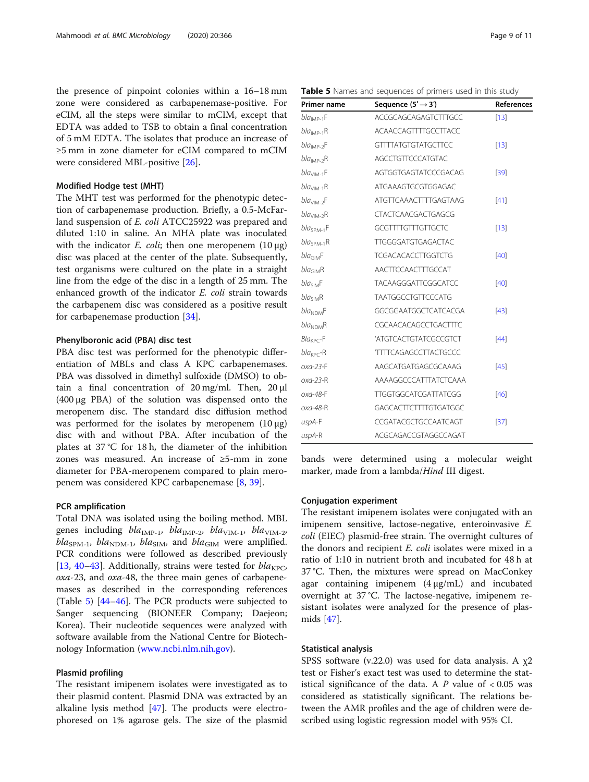the presence of pinpoint colonies within a 16–18 mm zone were considered as carbapenemase-positive. For eCIM, all the steps were similar to mCIM, except that EDTA was added to TSB to obtain a final concentration of 5 mM EDTA. The isolates that produce an increase of ≥5 mm in zone diameter for eCIM compared to mCIM were considered MBL-positive [\[26](#page-9-0)].

## Modified Hodge test (MHT)

The MHT test was performed for the phenotypic detection of carbapenemase production. Briefly, a 0.5-McFarland suspension of E. coli ATCC25922 was prepared and diluted 1:10 in saline. An MHA plate was inoculated with the indicator E. coli; then one meropenem  $(10 \mu g)$ disc was placed at the center of the plate. Subsequently, test organisms were cultured on the plate in a straight line from the edge of the disc in a length of 25 mm. The enhanced growth of the indicator E. coli strain towards the carbapenem disc was considered as a positive result for carbapenemase production [[34\]](#page-10-0).

#### Phenylboronic acid (PBA) disc test

PBA disc test was performed for the phenotypic differentiation of MBLs and class A KPC carbapenemases. PBA was dissolved in dimethyl sulfoxide (DMSO) to obtain a final concentration of 20 mg/ml. Then, 20 μl (400 μg PBA) of the solution was dispensed onto the meropenem disc. The standard disc diffusion method was performed for the isolates by meropenem  $(10 \mu g)$ disc with and without PBA. After incubation of the plates at 37 °C for 18 h, the diameter of the inhibition zones was measured. An increase of ≥5-mm in zone diameter for PBA-meropenem compared to plain meropenem was considered KPC carbapenemase [\[8](#page-9-0), [39](#page-10-0)].

## PCR amplification

Total DNA was isolated using the boiling method. MBL genes including  $bla_{\text{IMP-1}}$ ,  $bla_{\text{IMP-2}}$ ,  $bla_{\text{VIM-1}}$ ,  $bla_{\text{VIM-2}}$ ,  $bla<sub>SPM-1</sub>, bla<sub>NDM-1</sub>, bla<sub>SIM</sub>, and bla<sub>GIM</sub> were amplified.$ PCR conditions were followed as described previously [[13,](#page-9-0) [40](#page-10-0)–[43\]](#page-10-0). Additionally, strains were tested for  $bla_{KPC}$ , oxa-23, and oxa-48, the three main genes of carbapenemases as described in the corresponding references (Table 5) [\[44](#page-10-0)–[46\]](#page-10-0). The PCR products were subjected to Sanger sequencing (BIONEER Company; Daejeon; Korea). Their nucleotide sequences were analyzed with software available from the National Centre for Biotechnology Information [\(www.ncbi.nlm.nih.gov\)](http://www.ncbi.nlm.nih.gov/).

## Plasmid profiling

The resistant imipenem isolates were investigated as to their plasmid content. Plasmid DNA was extracted by an alkaline lysis method [[47\]](#page-10-0). The products were electrophoresed on 1% agarose gels. The size of the plasmid

Table 5 Names and sequences of primers used in this study

| Primer name           | Sequence $(5' \rightarrow 3')$ | References |
|-----------------------|--------------------------------|------------|
| $blaIMP-1F$           | ACCGCAGCAGAGTCTTTGCC           | $[13]$     |
| $bla_{IMP-1}R$        | ACAACCAGTTTTGCCTTACC           |            |
| $bla_{\text{IMP-2}}F$ | <b>GTTTTATGTGTATGCTTCC</b>     | $[13]$     |
| $bla_{\text{IMP-2}}R$ | <b>AGCCTGTTCCCATGTAC</b>       |            |
| $blaVIM-1F$           | AGTGGTGAGTATCCCGACAG           | $[39]$     |
| $blaVIM-1R$           | ATGAAAGTGCGTGGAGAC             |            |
| $blaVIM-2F$           | <b>ATGTTCAAACTTTTGAGTAAG</b>   | $[41]$     |
| $blaVIM-2R$           | <b>CTACTCAACGACTGAGCG</b>      |            |
| $blaSPM-1F$           | <b>GCGTTTTGTTTGTTGCTC</b>      | $[13]$     |
| $blaSPM-1R$           | <b>TTGGGGATGTGAGACTAC</b>      |            |
| $bla_{GIM}F$          | <b>TCGACACACCTTGGTCTG</b>      | [40]       |
| $bla_{GIM}R$          | AACTTCCAACTTTGCCAT             |            |
| bla <sub>SIM</sub> F  | <b>TACAAGGGATTCGGCATCC</b>     | [40]       |
| bla <sub>SIM</sub> R  | <b>TAATGGCCTGTTCCCATG</b>      |            |
| bla <sub>NDM</sub> F  | GGCGGAATGGCTCATCACGA           | $[43]$     |
| bla <sub>NDM</sub> R  | CGCAACACAGCCTGACTTTC           |            |
| $Bl a_{KPC}$ -F       | 'ATGTCACTGTATCGCCGTCT          | $[44]$     |
| $bla_{\text{KPC}}$ -R | <b>TTTTCAGAGCCTTACTGCCC</b>    |            |
| $oxa-23-F$            | AAGCATGATGAGCGCAAAG            | $[45]$     |
| $oxa-23-R$            | AAAAGGCCCATTTATCTCAAA          |            |
| $oxa-48-F$            | <b>TTGGTGGCATCGATTATCGG</b>    | [46]       |
| $oxa-48-R$            | <b>GAGCACTTCTTTTGTGATGGC</b>   |            |
| uspA-F                | CCGATACGCTGCCAATCAGT           | $[37]$     |
| uspA-R                | ACGCAGACCGTAGGCCAGAT           |            |

bands were determined using a molecular weight marker, made from a lambda/Hind III digest.

## Conjugation experiment

The resistant imipenem isolates were conjugated with an imipenem sensitive, lactose-negative, enteroinvasive E. coli (EIEC) plasmid-free strain. The overnight cultures of the donors and recipient E. coli isolates were mixed in a ratio of 1:10 in nutrient broth and incubated for 48 h at 37 °C. Then, the mixtures were spread on MacConkey agar containing imipenem (4 μg/mL) and incubated overnight at 37 °C. The lactose-negative, imipenem resistant isolates were analyzed for the presence of plasmids [[47](#page-10-0)].

#### Statistical analysis

SPSS software (v.22.0) was used for data analysis. A  $\chi$ 2 test or Fisher's exact test was used to determine the statistical significance of the data. A  $P$  value of  $< 0.05$  was considered as statistically significant. The relations between the AMR profiles and the age of children were described using logistic regression model with 95% CI.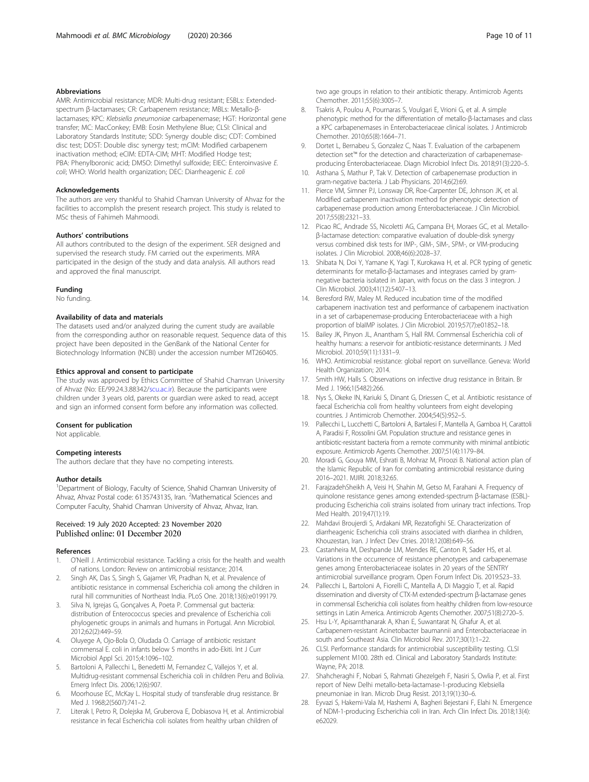## <span id="page-9-0"></span>Abbreviations

AMR: Antimicrobial resistance; MDR: Multi-drug resistant; ESBLs: Extendedspectrum β-lactamases; CR: Carbapenem resistance; MBLs: Metallo-βlactamases; KPC: Klebsiella pneumoniae carbapenemase; HGT: Horizontal gene transfer; MC: MacConkey; EMB: Eosin Methylene Blue; CLSI: Clinical and Laboratory Standards Institute; SDD: Synergy double disc; CDT: Combined disc test; DDST: Double disc synergy test; mCIM: Modified carbapenem inactivation method; eCIM: EDTA-CIM; MHT: Modified Hodge test; PBA: Phenylboronic acid; DMSO: Dimethyl sulfoxide; EIEC: Enteroinvasive E. coli; WHO: World health organization; DEC: Diarrheagenic E. coli

#### Acknowledgements

The authors are very thankful to Shahid Chamran University of Ahvaz for the facilities to accomplish the present research project. This study is related to MSc thesis of Fahimeh Mahmoodi.

#### Authors' contributions

All authors contributed to the design of the experiment. SER designed and supervised the research study. FM carried out the experiments. MRA participated in the design of the study and data analysis. All authors read and approved the final manuscript.

## Funding

No funding.

#### Availability of data and materials

The datasets used and/or analyzed during the current study are available from the corresponding author on reasonable request. Sequence data of this project have been deposited in the GenBank of the National Center for Biotechnology Information (NCBI) under the accession number MT260405.

#### Ethics approval and consent to participate

The study was approved by Ethics Committee of Shahid Chamran University of Ahvaz (No: EE/99.24.3.88342[/scu.ac.ir\)](http://scu.ac.ir). Because the participants were children under 3 years old, parents or guardian were asked to read, accept and sign an informed consent form before any information was collected.

#### Consent for publication

Not applicable.

#### Competing interests

The authors declare that they have no competing interests.

#### Author details

<sup>1</sup>Department of Biology, Faculty of Science, Shahid Chamran University of Ahvaz, Ahvaz Postal code: 6135743135, Iran. <sup>2</sup>Mathematical Sciences and Computer Faculty, Shahid Chamran University of Ahvaz, Ahvaz, Iran.

## Received: 19 July 2020 Accepted: 23 November 2020 Published online: 01 December 2020

#### References

- 1. O'Neill J. Antimicrobial resistance. Tackling a crisis for the health and wealth of nations. London: Review on antimicrobial resistance; 2014.
- Singh AK, Das S, Singh S, Gajamer VR, Pradhan N, et al. Prevalence of antibiotic resistance in commensal Escherichia coli among the children in rural hill communities of Northeast India. PLoS One. 2018;13(6):e0199179.
- Silva N, Igrejas G, Gonçalves A, Poeta P. Commensal gut bacteria: distribution of Enterococcus species and prevalence of Escherichia coli phylogenetic groups in animals and humans in Portugal. Ann Microbiol. 2012;62(2):449–59.
- 4. Oluyege A, Ojo-Bola O, Oludada O. Carriage of antibiotic resistant commensal E. coli in infants below 5 months in ado-Ekiti. Int J Curr Microbiol Appl Sci. 2015;4:1096–102.
- 5. Bartoloni A, Pallecchi L, Benedetti M, Fernandez C, Vallejos Y, et al. Multidrug-resistant commensal Escherichia coli in children Peru and Bolivia. Emerg Infect Dis. 2006;12(6):907.
- Moorhouse EC, McKay L. Hospital study of transferable drug resistance. Br Med J. 1968;2(5607):741–2.
- 7. Literak I, Petro R, Dolejska M, Gruberova E, Dobiasova H, et al. Antimicrobial resistance in fecal Escherichia coli isolates from healthy urban children of
- 8. Tsakris A, Poulou A, Pournaras S, Voulgari E, Vrioni G, et al. A simple phenotypic method for the differentiation of metallo-β-lactamases and class a KPC carbapenemases in Enterobacteriaceae clinical isolates. J Antimicrob Chemother. 2010;65(8):1664–71.
- Dortet L, Bernabeu S, Gonzalez C, Naas T. Evaluation of the carbapenem detection set™ for the detection and characterization of carbapenemaseproducing Enterobacteriaceae. Diagn Microbiol Infect Dis. 2018;91(3):220–5.
- 10. Asthana S, Mathur P, Tak V. Detection of carbapenemase production in gram-negative bacteria. J Lab Physicians. 2014;6(2):69.
- 11. Pierce VM, Simner PJ, Lonsway DR, Roe-Carpenter DE, Johnson JK, et al. Modified carbapenem inactivation method for phenotypic detection of carbapenemase production among Enterobacteriaceae. J Clin Microbiol. 2017;55(8):2321–33.
- 12. Picao RC, Andrade SS, Nicoletti AG, Campana EH, Moraes GC, et al. Metalloβ-lactamase detection: comparative evaluation of double-disk synergy versus combined disk tests for IMP-, GIM-, SIM-, SPM-, or VIM-producing isolates. J Clin Microbiol. 2008;46(6):2028–37.
- 13. Shibata N, Doi Y, Yamane K, Yagi T, Kurokawa H, et al. PCR typing of genetic determinants for metallo-β-lactamases and integrases carried by gramnegative bacteria isolated in Japan, with focus on the class 3 integron. J Clin Microbiol. 2003;41(12):5407–13.
- 14. Beresford RW, Maley M. Reduced incubation time of the modified carbapenem inactivation test and performance of carbapenem inactivation in a set of carbapenemase-producing Enterobacteriaceae with a high proportion of blaIMP isolates. J Clin Microbiol. 2019;57(7):e01852–18.
- 15. Bailey JK, Pinyon JL, Anantham S, Hall RM. Commensal Escherichia coli of healthy humans: a reservoir for antibiotic-resistance determinants. J Med Microbiol. 2010;59(11):1331–9.
- 16. WHO. Antimicrobial resistance: global report on surveillance. Geneva: World Health Organization; 2014.
- 17. Smith HW, Halls S. Observations on infective drug resistance in Britain. Br Med J. 1966;1(5482):266.
- 18. Nys S, Okeke IN, Kariuki S, Dinant G, Driessen C, et al. Antibiotic resistance of faecal Escherichia coli from healthy volunteers from eight developing countries. J Antimicrob Chemother. 2004;54(5):952–5.
- 19. Pallecchi L, Lucchetti C, Bartoloni A, Bartalesi F, Mantella A, Gamboa H, Carattoli A, Paradisi F, Rossolini GM. Population structure and resistance genes in antibiotic-resistant bacteria from a remote community with minimal antibiotic exposure. Antimicrob Agents Chemother. 2007;51(4):1179–84.
- 20. Moradi G, Gouya MM, Eshrati B, Mohraz M, Piroozi B. National action plan of the Islamic Republic of Iran for combating antimicrobial resistance during 2016–2021. MJIRI. 2018;32:65.
- 21. FarajzadehSheikh A, Veisi H, Shahin M, Getso M, Farahani A. Frequency of quinolone resistance genes among extended-spectrum β-lactamase (ESBL) producing Escherichia coli strains isolated from urinary tract infections. Trop Med Health. 2019;47(1):19.
- 22. Mahdavi Broujerdi S, Ardakani MR, Rezatofighi SE. Characterization of diarrheagenic Escherichia coli strains associated with diarrhea in children, Khouzestan, Iran. J Infect Dev Ctries. 2018;12(08):649–56.
- 23. Castanheira M, Deshpande LM, Mendes RE, Canton R, Sader HS, et al. Variations in the occurrence of resistance phenotypes and carbapenemase genes among Enterobacteriaceae isolates in 20 years of the SENTRY antimicrobial surveillance program. Open Forum Infect Dis. 2019:S23–33.
- 24. Pallecchi L, Bartoloni A, Fiorelli C, Mantella A, Di Maggio T, et al. Rapid dissemination and diversity of CTX-M extended-spectrum β-lactamase genes in commensal Escherichia coli isolates from healthy children from low-resource settings in Latin America. Antimicrob Agents Chemother. 2007;51(8):2720–5.
- 25. Hsu L-Y, Apisarnthanarak A, Khan E, Suwantarat N, Ghafur A, et al. Carbapenem-resistant Acinetobacter baumannii and Enterobacteriaceae in south and Southeast Asia. Clin Microbiol Rev. 2017;30(1):1–22.
- 26. CLSI. Performance standards for antimicrobial susceptibility testing. CLSI supplement M100. 28th ed. Clinical and Laboratory Standards Institute: Wayne, PA; 2018.
- 27. Shahcheraghi F, Nobari S, Rahmati Ghezelgeh F, Nasiri S, Owlia P, et al. First report of New Delhi metallo-beta-lactamase-1-producing Klebsiella pneumoniae in Iran. Microb Drug Resist. 2013;19(1):30–6.
- 28. Eyvazi S, Hakemi-Vala M, Hashemi A, Bagheri Bejestani F, Elahi N. Emergence of NDM-1-producing Escherichia coli in Iran. Arch Clin Infect Dis. 2018;13(4): e62029.